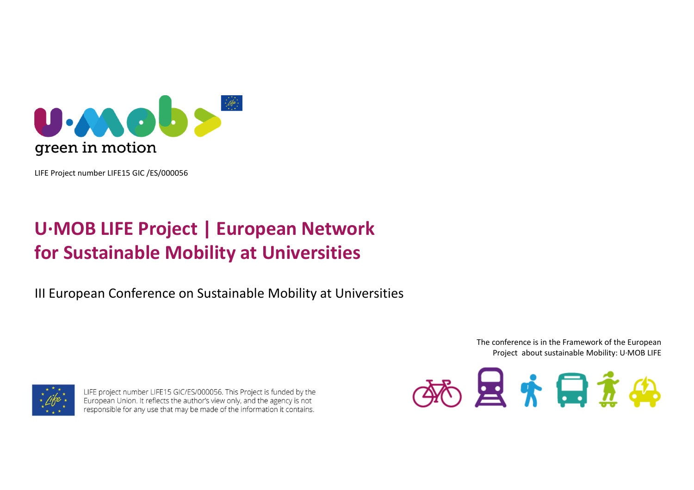

LIFE Project number LIFE15 GIC /ES/000056

# **U·MOB LIFE Project | European Network for Sustainable Mobility at Universities**

III European Conference on Sustainable Mobility at Universities

The conference is in the Framework of the EuropeanProject about sustainable Mobility: U·MOB LIFE



LIFE project number LIFE15 GIC/ES/000056. This Project is funded by the European Union. It reflects the author's view only, and the agency is not responsible for any use that may be made of the information it contains.

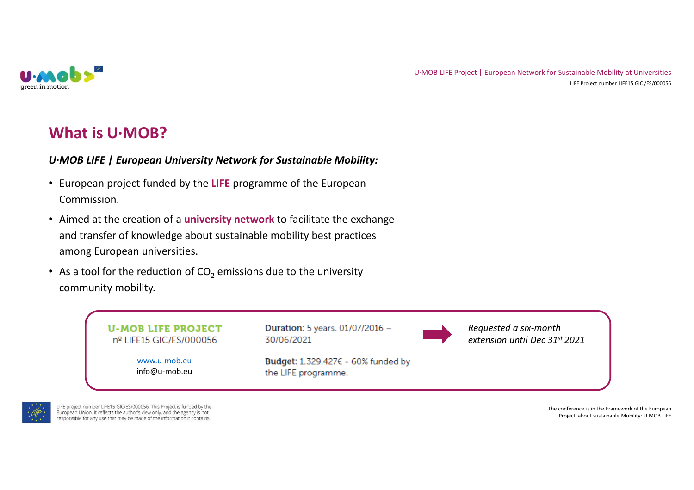

### **What is U·MOB?**

### *U·MOB LIFE | European University Network for Sustainable Mobility:*

- European project funded by the **LIFE** programme of the European Commission.
- Aimed at the creation of a **university network** to facilitate the exchange and transfer of knowledge about sustainable mobility best practices among European universities.
- As a tool for the reduction of CO<sub>2</sub> emissions due to the university community mobility.





LIFE project number LIFE15 GIC/ES/000056. This Project is funded by the European Union. It reflects the author's view only, and the agency is not responsible for any use that may be made of the information it contains.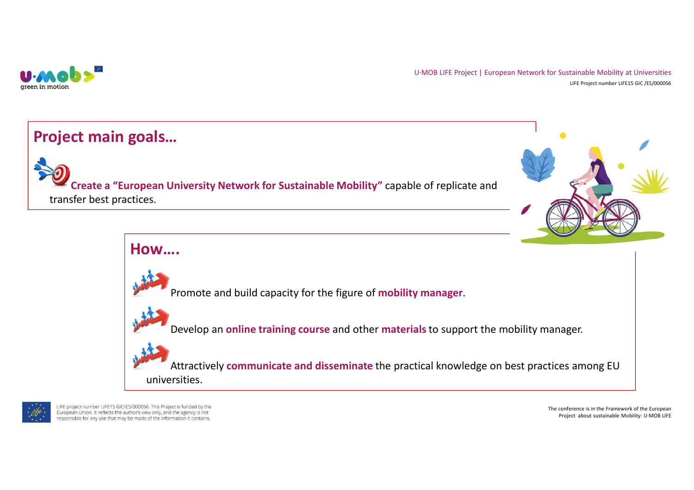

### **Project main goals…**

**Create a "European University Network for Sustainable Mobility"** capable of replicate and transfer best practices.







LIFE project number LIFE15 GIC/ES/000056. This Project is funded by the European Union. It reflects the author's view only, and the agency is not responsible for any use that may be made of the information it contains.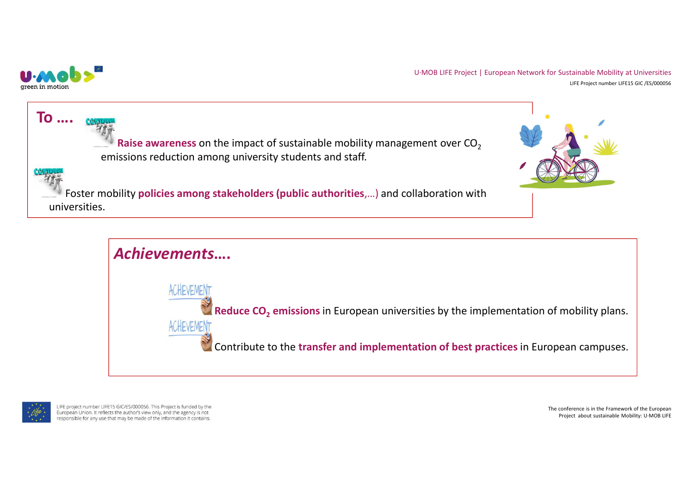





LIFE project number LIFE15 GIC/ES/000056. This Project is funded by the European Union. It reflects the author's view only, and the agency is not responsible for any use that may be made of the information it contains.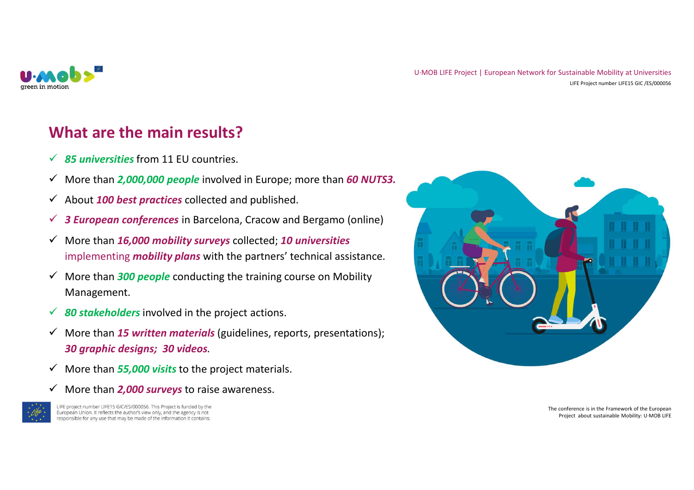

## **What are the main results?**

- *85 universities* from 11 EU countries.
- More than *2,000,000 people* involved in Europe; more than *60 NUTS3.*
- About *100 best practices* collected and published.
- *3 European conferences* in Barcelona, Cracow and Bergamo (online)
- More than *16,000 mobility surveys* collected; *10 universities*  implementing *mobility plans* with the partners' technical assistance.
- More than *300 people* conducting the training course on Mobility Management.
- *80 stakeholders* involved in the project actions.
- More than *15 written materials* (guidelines, reports, presentations); *30 graphic designs; 30 videos.*
- More than *55,000 visits* to the project materials.
- More than *2,000 surveys* to raise awareness.



LIFE project number LIFE15 GIC/ES/000056. This Project is funded by the European Union. It reflects the author's view only, and the agency is not responsible for any use that may be made of the information it contains.

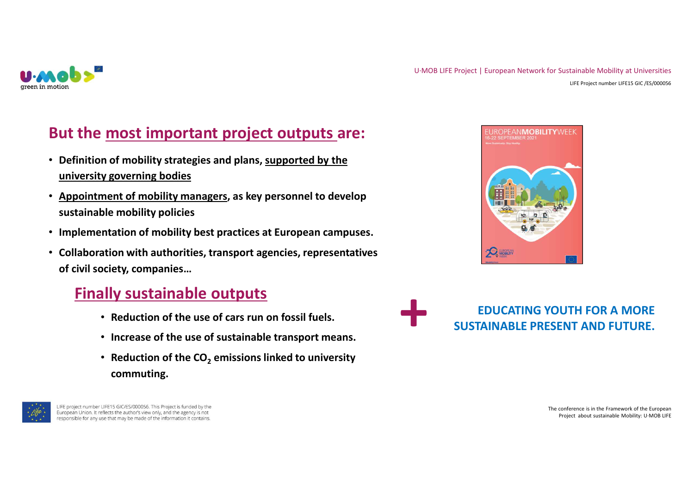

## **But the most important project outputs are:**

- **Definition of mobility strategies and plans, supported by the university governing bodies**
- **Appointment of mobility managers, as key personnel to develop sustainable mobility policies**
- **Implementation of mobility best practices at European campuses.**
- **Collaboration with authorities, transport agencies, representatives of civil society, companies…**

## **Finally sustainable outputs**

- **Reduction of the use of cars run on fossil fuels.**
- **Increase of the use of sustainable transport means.**
- **Reduction of the CO<sup>2</sup> emissions linked to university commuting.**



LIFE project number LIFE15 GIC/ES/000056. This Project is funded by the European Union. It reflects the author's view only, and the agency is not responsible for any use that may be made of the information it contains.



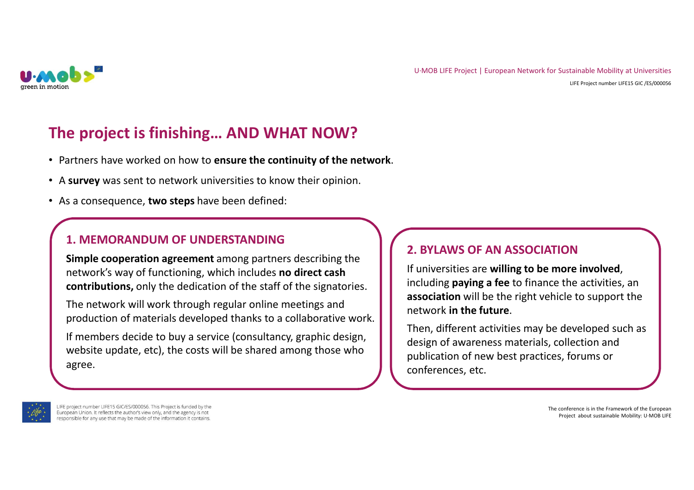

## **The project is finishing… AND WHAT NOW?**

- Partners have worked on how to **ensure the continuity of the network**.
- <sup>A</sup>**survey** was sent to network universities to know their opinion.
- As a consequence, **two steps** have been defined:

### **1. MEMORANDUM OF UNDERSTANDING**

**Simple cooperation agreement** among partners describing the network's way of functioning, which includes **no direct cash contributions,** only the dedication of the staff of the signatories.

The network will work through regular online meetings and production of materials developed thanks to a collaborative work.

If members decide to buy a service (consultancy, graphic design, website update, etc), the costs will be shared among those who agree.

### **2. BYLAWS OF AN ASSOCIATION**

 If universities are **willing to be more involved**, including **paying a fee** to finance the activities, an **association** will be the right vehicle to support the network **in the future**.

Then, different activities may be developed such as design of awareness materials, collection and publication of new best practices, forums or conferences, etc.



LIFE project number LIFE15 GIC/ES/000056. This Project is funded by the European Union. It reflects the author's view only, and the agency is not responsible for any use that may be made of the information it contains.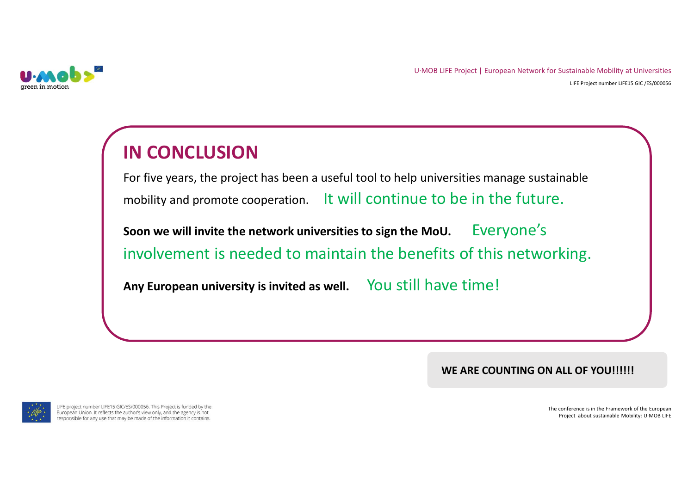

# **IN CONCLUSION**

 For five years, the project has been a useful tool to help universities manage sustainable mobility and promote cooperation. It will continue to be in the future.

**Soon we will invite the network universities to sign the MoU.** Everyone's involvement is needed to maintain the benefits of this networking.

**Any European university is invited as well.** You still have time!

WE ARE COUNTING ON ALL OF YOU!!!!!!



LIFE project number LIFE15 GIC/ES/000056. This Project is funded by the European Union. It reflects the author's view only, and the agency is not responsible for any use that may be made of the information it contains.